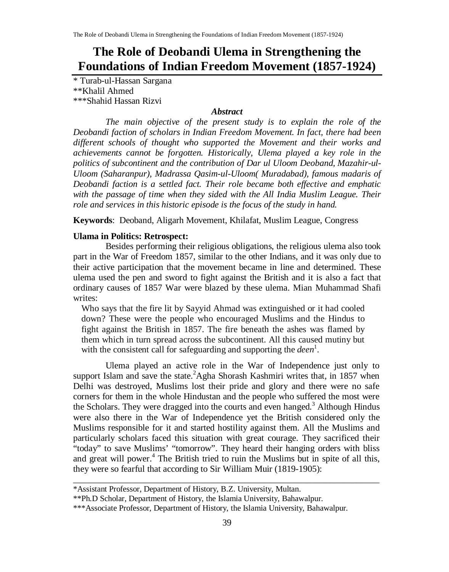# **The Role of Deobandi Ulema in Strengthening the Foundations of Indian Freedom Movement (1857-1924)**

\* Turab-ul-Hassan Sargana \*\*Khalil Ahmed \*\*\*Shahid Hassan Rizvi

### *Abstract*

*The main objective of the present study is to explain the role of the Deobandi faction of scholars in Indian Freedom Movement. In fact, there had been different schools of thought who supported the Movement and their works and achievements cannot be forgotten. Historically, Ulema played a key role in the politics of subcontinent and the contribution of Dar ul Uloom Deoband, Mazahir-ul-Uloom (Saharanpur), Madrassa Qasim-ul-Uloom( Muradabad), famous madaris of Deobandi faction is a settled fact. Their role became both effective and emphatic with the passage of time when they sided with the All India Muslim League. Their role and services in this historic episode is the focus of the study in hand.*

**Keywords**: Deoband, Aligarh Movement, Khilafat, Muslim League, Congress

#### **Ulama in Politics: Retrospect:**

Besides performing their religious obligations, the religious ulema also took part in the War of Freedom 1857, similar to the other Indians, and it was only due to their active participation that the movement became in line and determined. These ulema used the pen and sword to fight against the British and it is also a fact that ordinary causes of 1857 War were blazed by these ulema. Mian Muhammad Shafi writes:

Who says that the fire lit by Sayyid Ahmad was extinguished or it had cooled down? These were the people who encouraged Muslims and the Hindus to fight against the British in 1857. The fire beneath the ashes was flamed by them which in turn spread across the subcontinent. All this caused mutiny but with the consistent call for safeguarding and supporting the *deen* 1 .

Ulema played an active role in the War of Independence just only to support Islam and save the state.<sup>2</sup>Agha Shorash Kashmiri writes that, in 1857 when Delhi was destroyed, Muslims lost their pride and glory and there were no safe corners for them in the whole Hindustan and the people who suffered the most were the Scholars. They were dragged into the courts and even hanged.<sup>3</sup> Although Hindus were also there in the War of Independence yet the British considered only the Muslims responsible for it and started hostility against them. All the Muslims and particularly scholars faced this situation with great courage. They sacrificed their "today" to save Muslims' "tomorrow". They heard their hanging orders with bliss and great will power. <sup>4</sup> The British tried to ruin the Muslims but in spite of all this, they were so fearful that according to Sir William Muir (1819-1905):

\_\_\_\_\_\_\_\_\_\_\_\_\_\_\_\_\_\_\_\_\_\_\_\_\_\_\_\_\_\_\_\_\_\_\_\_\_\_\_\_\_\_\_\_\_\_\_\_\_\_\_\_\_\_\_\_\_\_\_\_\_\_\_\_\_\_\_\_

<sup>\*</sup>Assistant Professor, Department of History, B.Z. University, Multan.

<sup>\*\*</sup>Ph.D Scholar, Department of History, the Islamia University, Bahawalpur.

<sup>\*\*\*</sup>Associate Professor, Department of History, the Islamia University, Bahawalpur.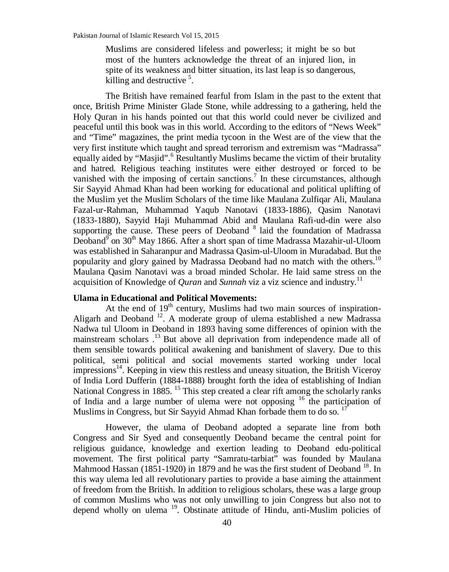Muslims are considered lifeless and powerless; it might be so but most of the hunters acknowledge the threat of an injured lion, in spite of its weakness and bitter situation, its last leap is so dangerous, killing and destructive<sup>5</sup>.

The British have remained fearful from Islam in the past to the extent that once, British Prime Minister Glade Stone, while addressing to a gathering, held the Holy Quran in his hands pointed out that this world could never be civilized and peaceful until this book was in this world. According to the editors of "News Week" and "Time" magazines, the print media tycoon in the West are of the view that the very first institute which taught and spread terrorism and extremism was "Madrassa" equally aided by "Masjid".<sup>6</sup> Resultantly Muslims became the victim of their brutality and hatred. Religious teaching institutes were either destroyed or forced to be vanished with the imposing of certain sanctions.<sup>7</sup> In these circumstances, although Sir Sayyid Ahmad Khan had been working for educational and political uplifting of the Muslim yet the Muslim Scholars of the time like Maulana Zulfiqar Ali, Maulana Fazal-ur-Rahman, Muhammad Yaqub Nanotavi (1833-1886), Qasim Nanotavi (1833-1880), Sayyid Haji Muhammad Abid and Maulana Rafi-ud-din were also supporting the cause. These peers of Deoband<sup>8</sup> laid the foundation of Madrassa Deoband<sup>9</sup> on 30<sup>th</sup> May 1866. After a short span of time Madrassa Mazahir-ul-Uloom was established in Saharanpur and Madrassa Qasim-ul-Uloom in Muradabad. But the popularity and glory gained by Madrassa Deoband had no match with the others.<sup>10</sup> Maulana Qasim Nanotavi was a broad minded Scholar. He laid same stress on the acquisition of Knowledge of *Quran* and *Sunnah* viz a viz science and industry.<sup>11</sup>

#### **Ulama in Educational and Political Movements:**

At the end of 19<sup>th</sup> century, Muslims had two main sources of inspiration-Aligarh and Deoband<sup>12</sup>. A moderate group of ulema established a new Madrassa Nadwa tul Uloom in Deoband in 1893 having some differences of opinion with the mainstream scholars .<sup>13</sup> But above all deprivation from independence made all of them sensible towards political awakening and banishment of slavery. Due to this political, semi political and social movements started working under local  $\frac{1}{4}$ : Keeping in view this restless and uneasy situation, the British Viceroy of India Lord Dufferin (1884-1888) brought forth the idea of establishing of Indian National Congress in 1885.<sup>15</sup> This step created a clear rift among the scholarly ranks of India and a large number of ulema were not opposing  $16$  the participation of Muslims in Congress, but Sir Sayyid Ahmad Khan forbade them to do so.<sup>17</sup>

However, the ulama of Deoband adopted a separate line from both Congress and Sir Syed and consequently Deoband became the central point for religious guidance, knowledge and exertion leading to Deoband edu-political movement. The first political party "Samratu-tarbiat" was founded by Maulana Mahmood Hassan (1851-1920) in 1879 and he was the first student of Deoband<sup>18</sup>. In this way ulema led all revolutionary parties to provide a base aiming the attainment of freedom from the British. In addition to religious scholars, these was a large group of common Muslims who was not only unwilling to join Congress but also not to depend wholly on ulema<sup>19</sup>. Obstinate attitude of Hindu, anti-Muslim policies of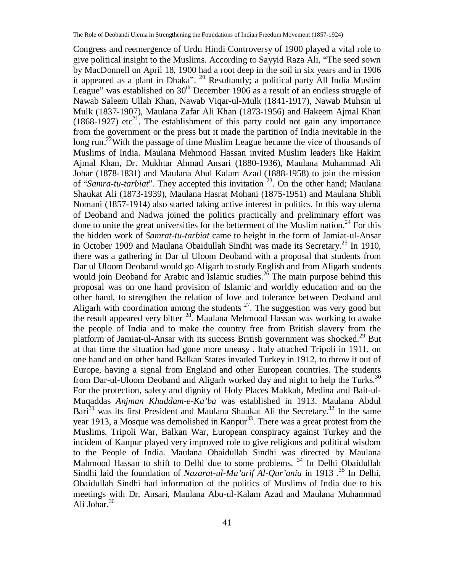Congress and reemergence of Urdu Hindi Controversy of 1900 played a vital role to give political insight to the Muslims. According to Sayyid Raza Ali, "The seed sown by MacDonnell on April 18, 1900 had a root deep in the soil in six years and in 1906 it appeared as a plant in Dhaka". <sup>20</sup> Resultantly; a political party All India Muslim League" was established on  $30<sup>th</sup>$  December 1906 as a result of an endless struggle of Nawab Saleem Ullah Khan, Nawab Viqar-ul-Mulk (1841-1917), Nawab Muhsin ul Mulk (1837-1907), Maulana Zafar Ali Khan (1873-1956) and Hakeem Ajmal Khan (1868-1927) etc<sup>21</sup>. The establishment of this party could not gain any importance from the government or the press but it made the partition of India inevitable in the long run.<sup>22</sup>With the passage of time Muslim League became the vice of thousands of Muslims of India. Maulana Mehmood Hassan invited Muslim leaders like Hakim Ajmal Khan, Dr. Mukhtar Ahmad Ansari (1880-1936), Maulana Muhammad Ali Johar (1878-1831) and Maulana Abul Kalam Azad (1888-1958) to join the mission of "*Samra-tu-tarbiat*". They accepted this invitation <sup>23</sup>. On the other hand; Maulana Shaukat Ali (1873-1939), Maulana Hasrat Mohani (1875-1951) and Maulana Shibli Nomani (1857-1914) also started taking active interest in politics. In this way ulema of Deoband and Nadwa joined the politics practically and preliminary effort was done to unite the great universities for the betterment of the Muslim nation.<sup>24</sup> For this the hidden work of *Samrat-tu-tarbiat* came to height in the form of Jamiat-ul-Ansar in October 1909 and Maulana Obaidullah Sindhi was made its Secretary.<sup>25</sup> In 1910, there was a gathering in Dar ul Uloom Deoband with a proposal that students from Dar ul Uloom Deoband would go Aligarh to study English and from Aligarh students would join Deoband for Arabic and Islamic studies.<sup>26</sup> The main purpose behind this proposal was on one hand provision of Islamic and worldly education and on the other hand, to strengthen the relation of love and tolerance between Deoband and Aligarh with coordination among the students  $27$ . The suggestion was very good but the result appeared very bitter <sup>28</sup>. Maulana Mehmood Hassan was working to awake the people of India and to make the country free from British slavery from the platform of Jamiat-ul-Ansar with its success British government was shocked.<sup>29</sup> But at that time the situation had gone more uneasy . Italy attached Tripoli in 1911, on one hand and on other hand Balkan States invaded Turkey in 1912, to throw it out of Europe, having a signal from England and other European countries. The students from Dar-ul-Uloom Deoband and Aligarh worked day and night to help the Turks.<sup>30</sup> For the protection, safety and dignity of Holy Places Makkah, Medina and Bait-ul-Muqaddas *Anjman Khuddam-e-Ka'ba* was established in 1913. Maulana Abdul Bari<sup>31</sup> was its first President and Maulana Shaukat Ali the Secretary.<sup>32</sup> In the same year 1913, a Mosque was demolished in Kanpur<sup>33</sup>. There was a great protest from the Muslims. Tripoli War, Balkan War, European conspiracy against Turkey and the incident of Kanpur played very improved role to give religions and political wisdom to the People of India. Maulana Obaidullah Sindhi was directed by Maulana Mahmood Hassan to shift to Delhi due to some problems.<sup>34</sup> In Delhi Obaidullah Sindhi laid the foundation of *Nazarat-ul-Ma'arif Al-Qur'ania* in 1913 .<sup>35</sup> In Delhi, Obaidullah Sindhi had information of the politics of Muslims of India due to his meetings with Dr. Ansari, Maulana Abu-ul-Kalam Azad and Maulana Muhammad Ali Johar.<sup>36</sup>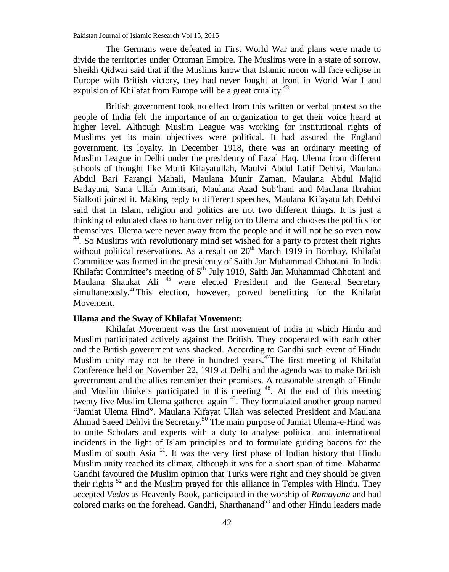Pakistan Journal of Islamic Research Vol 15, 2015

The Germans were defeated in First World War and plans were made to divide the territories under Ottoman Empire. The Muslims were in a state of sorrow. Sheikh Qidwai said that if the Muslims know that Islamic moon will face eclipse in Europe with British victory, they had never fought at front in World War I and expulsion of Khilafat from Europe will be a great cruality.<sup>43</sup>

British government took no effect from this written or verbal protest so the people of India felt the importance of an organization to get their voice heard at higher level. Although Muslim League was working for institutional rights of Muslims yet its main objectives were political. It had assured the England government, its loyalty. In December 1918, there was an ordinary meeting of Muslim League in Delhi under the presidency of Fazal Haq. Ulema from different schools of thought like Mufti Kifayatullah, Maulvi Abdul Latif Dehlvi, Maulana Abdul Bari Farangi Mahali, Maulana Munir Zaman, Maulana Abdul Majid Badayuni, Sana Ullah Amritsari, Maulana Azad Sub'hani and Maulana Ibrahim Sialkoti joined it. Making reply to different speeches, Maulana Kifayatullah Dehlvi said that in Islam, religion and politics are not two different things. It is just a thinking of educated class to handover religion to Ulema and chooses the politics for themselves. Ulema were never away from the people and it will not be so even now <sup>44</sup>. So Muslims with revolutionary mind set wished for a party to protest their rights without political reservations. As a result on 20<sup>th</sup> March 1919 in Bombay, Khilafat Committee was formed in the presidency of Saith Jan Muhammad Chhotani. In India Khilafat Committee's meeting of  $5<sup>th</sup>$  July 1919, Saith Jan Muhammad Chhotani and Maulana Shaukat Ali<sup>45</sup> were elected President and the General Secretary simultaneously.<sup>46</sup>This election, however, proved benefitting for the Khilafat Movement.

#### **Ulama and the Sway of Khilafat Movement:**

Khilafat Movement was the first movement of India in which Hindu and Muslim participated actively against the British. They cooperated with each other and the British government was shacked. According to Gandhi such event of Hindu Muslim unity may not be there in hundred years.<sup>47</sup>The first meeting of Khilafat Conference held on November 22, 1919 at Delhi and the agenda was to make British government and the allies remember their promises. A reasonable strength of Hindu and Muslim thinkers participated in this meeting <sup>48</sup>. At the end of this meeting twenty five Muslim Ulema gathered again <sup>49</sup>. They formulated another group named "Jamiat Ulema Hind". Maulana Kifayat Ullah was selected President and Maulana Ahmad Saeed Dehlvi the Secretary.<sup>50</sup> The main purpose of Jamiat Ulema-e-Hind was to unite Scholars and experts with a duty to analyse political and international incidents in the light of Islam principles and to formulate guiding bacons for the Muslim of south Asia <sup>51</sup>. It was the very first phase of Indian history that Hindu Muslim unity reached its climax, although it was for a short span of time. Mahatma Gandhi favoured the Muslim opinion that Turks were right and they should be given their rights <sup>52</sup> and the Muslim prayed for this alliance in Temples with Hindu. They accepted *Vedas* as Heavenly Book, participated in the worship of *Ramayana* and had colored marks on the forehead. Gandhi, Sharthanand<sup>53</sup> and other Hindu leaders made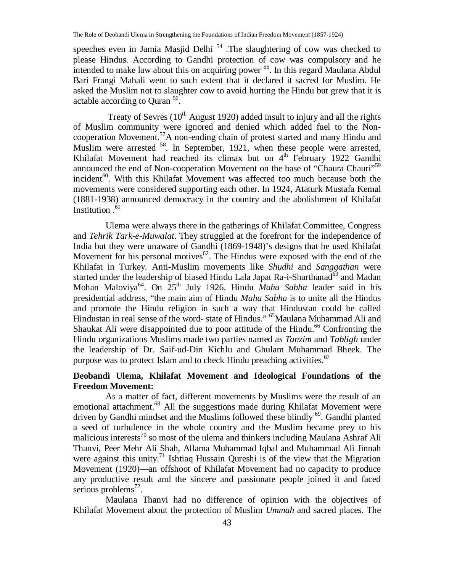speeches even in Jamia Masjid Delhi<sup>54</sup>. The slaughtering of cow was checked to please Hindus. According to Gandhi protection of cow was compulsory and he intended to make law about this on acquiring power <sup>55</sup>. In this regard Maulana Abdul Bari Frangi Mahali went to such extent that it declared it sacred for Muslim. He asked the Muslim not to slaughter cow to avoid hurting the Hindu but grew that it is actable according to Quran <sup>56</sup>.

Treaty of Sevres  $(10<sup>th</sup>$  August 1920) added insult to injury and all the rights of Muslim community were ignored and denied which added fuel to the Noncooperation Movement. <sup>57</sup>A non-ending chain of protest started and many Hindu and Muslim were arrested <sup>58</sup>. In September, 1921, when these people were arrested, Khilafat Movement had reached its climax but on 4<sup>th</sup> February 1922 Gandhi announced the end of Non-cooperation Movement on the base of "Chaura Chauri"<sup>59</sup> incident $60$ . With this Khilafat Movement was affected too much because both the movements were considered supporting each other. In 1924, Ataturk Mustafa Kemal (1881-1938) announced democracy in the country and the abolishment of Khilafat Institution .<sup>61</sup>

Ulema were always there in the gatherings of Khilafat Committee, Congress and *Tehrik Tark-e-Muwalat*. They struggled at the forefront for the independence of India but they were unaware of Gandhi (1869-1948)'s designs that he used Khilafat Movement for his personal motives $62$ . The Hindus were exposed with the end of the Khilafat in Turkey. Anti-Muslim movements like *Shudhi* and *Sanggathan* were started under the leadership of biased Hindu Lala Japat Ra-i-Sharthanad<sup>63</sup> and Madan Mohan Maloviya<sup>64</sup>. On 25<sup>th</sup> July 1926, Hindu *Maha Sabha* leader said in his presidential address, "the main aim of Hindu *Maha Sabha* is to unite all the Hindus and promote the Hindu religion in such a way that Hindustan could be called Hindustan in real sense of the word- state of Hindus." <sup>65</sup>Maulana Muhammad Ali and Shaukat Ali were disappointed due to poor attitude of the Hindu.<sup>66</sup> Confronting the Hindu organizations Muslims made two parties named as *Tanzim* and *Tabligh* under the leadership of Dr. Saif-ud-Din Kichlu and Ghulam Muhammad Bheek. The purpose was to protect Islam and to check Hindu preaching activities.<sup>67</sup>

# **Deobandi Ulema, Khilafat Movement and Ideological Foundations of the Freedom Movement:**

As a matter of fact, different movements by Muslims were the result of an emotional attachment.<sup>68</sup> All the suggestions made during Khilafat Movement were driven by Gandhi mindset and the Muslims followed these blindly <sup>69</sup>. Gandhi planted a seed of turbulence in the whole country and the Muslim became prey to his malicious interests<sup>70</sup> so most of the ulema and thinkers including Maulana Ashraf Ali Thanvi, Peer Mehr Ali Shah, Allama Muhammad Iqbal and Muhammad Ali Jinnah were against this unity.<sup>71</sup> Ishtiaq Hussain Qureshi is of the view that the Migration Movement (1920)—an offshoot of Khilafat Movement had no capacity to produce any productive result and the sincere and passionate people joined it and faced serious problems $72$ .

Maulana Thanvi had no difference of opinion with the objectives of Khilafat Movement about the protection of Muslim *Ummah* and sacred places. The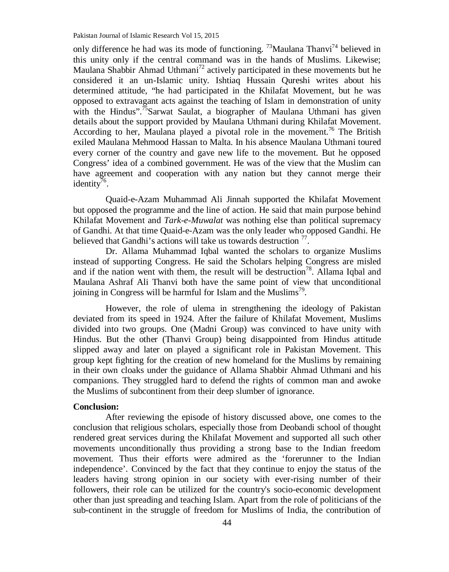Pakistan Journal of Islamic Research Vol 15, 2015

only difference he had was its mode of functioning. <sup>73</sup>Maulana Thanvi<sup>74</sup> believed in this unity only if the central command was in the hands of Muslims. Likewise; Maulana Shabbir Ahmad Uthmani<sup>72</sup> actively participated in these movements but he considered it an un-Islamic unity. Ishtiaq Hussain Qureshi writes about his determined attitude, "he had participated in the Khilafat Movement, but he was opposed to extravagant acts against the teaching of Islam in demonstration of unity with the Hindus".<sup>75</sup>Sarwat Saulat, a biographer of Maulana Uthmani has given details about the support provided by Maulana Uthmani during Khilafat Movement. According to her, Maulana played a pivotal role in the movement.<sup>76</sup> The British exiled Maulana Mehmood Hassan to Malta. In his absence Maulana Uthmani toured every corner of the country and gave new life to the movement. But he opposed Congress' idea of a combined government. He was of the view that the Muslim can have agreement and cooperation with any nation but they cannot merge their identity<sup>76</sup>.

Quaid-e-Azam Muhammad Ali Jinnah supported the Khilafat Movement but opposed the programme and the line of action. He said that main purpose behind Khilafat Movement and *Tark-e-Muwalat* was nothing else than political supremacy of Gandhi. At that time Quaid-e-Azam was the only leader who opposed Gandhi. He believed that Gandhi's actions will take us towards destruction  $\frac{7}{7}$ .

Dr. Allama Muhammad Iqbal wanted the scholars to organize Muslims instead of supporting Congress. He said the Scholars helping Congress are misled and if the nation went with them, the result will be destruction<sup>78</sup>. Allama Iqbal and Maulana Ashraf Ali Thanvi both have the same point of view that unconditional joining in Congress will be harmful for Islam and the Muslims<sup>79</sup>.

However, the role of ulema in strengthening the ideology of Pakistan deviated from its speed in 1924. After the failure of Khilafat Movement, Muslims divided into two groups. One (Madni Group) was convinced to have unity with Hindus. But the other (Thanvi Group) being disappointed from Hindus attitude slipped away and later on played a significant role in Pakistan Movement. This group kept fighting for the creation of new homeland for the Muslims by remaining in their own cloaks under the guidance of Allama Shabbir Ahmad Uthmani and his companions. They struggled hard to defend the rights of common man and awoke the Muslims of subcontinent from their deep slumber of ignorance.

## **Conclusion:**

After reviewing the episode of history discussed above, one comes to the conclusion that religious scholars, especially those from Deobandi school of thought rendered great services during the Khilafat Movement and supported all such other movements unconditionally thus providing a strong base to the Indian freedom movement. Thus their efforts were admired as the 'forerunner to the Indian independence'. Convinced by the fact that they continue to enjoy the status of the leaders having strong opinion in our society with ever-rising number of their followers, their role can be utilized for the country's socio-economic development other than just spreading and teaching Islam. Apart from the role of politicians of the sub-continent in the struggle of freedom for Muslims of India, the contribution of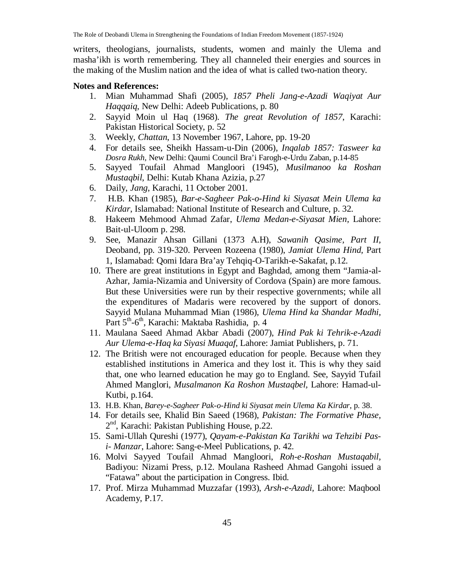writers, theologians, journalists, students, women and mainly the Ulema and masha'ikh is worth remembering. They all channeled their energies and sources in the making of the Muslim nation and the idea of what is called two-nation theory.

#### **Notes and References:**

- 1. Mian Muhammad Shafi (2005), *1857 Pheli Jang-e-Azadi Waqiyat Aur Haqqaiq,* New Delhi: Adeeb Publications, p. 80
- 2. Sayyid Moin ul Haq (1968). *The great Revolution of 1857*, Karachi: Pakistan Historical Society, p. 52
- 3. Weekly*, Chattan*, 13 November 1967, Lahore, pp. 19-20
- 4. For details see, Sheikh Hassam-u-Din (2006), *Inqalab 1857: Tasweer ka Dosra Rukh,* New Delhi: Qaumi Council Bra'i Farogh-e-Urdu Zaban, p.14-85
- 5. Sayyed Toufail Ahmad Mangloori (1945), *Musilmanoo ka Roshan Mustaqbil*, Delhi: Kutab Khana Azizia, p.27
- 6. Daily, *Jang*, Karachi, 11 October 2001.
- 7. H.B. Khan (1985), *Bar-e-Sagheer Pak-o-Hind ki Siyasat Mein Ulema ka Kirdar*, Islamabad: National Institute of Research and Culture, p. 32.
- 8. Hakeem Mehmood Ahmad Zafar, *Ulema Medan-e-Siyasat Mien,* Lahore: Bait-ul-Uloom p. 298.
- 9. See, Manazir Ahsan Gillani (1373 A.H), *Sawanih Qasime, Part II,* Deoband, pp. 319-320. Perveen Rozeena (1980), *Jamiat Ulema Hind,* Part 1, Islamabad: Qomi Idara Bra'ay Tehqiq-O-Tarikh-e-Sakafat, p.12.
- 10. There are great institutions in Egypt and Baghdad, among them "Jamia-al-Azhar, Jamia-Nizamia and University of Cordova (Spain) are more famous. But these Universities were run by their respective governments; while all the expenditures of Madaris were recovered by the support of donors. Sayyid Mulana Muhammad Mian (1986), *Ulema Hind ka Shandar Madhi,* Part 5<sup>th</sup>-6<sup>th</sup>, Karachi: Maktaba Rashidia, p. 4
- 11. Maulana Saeed Ahmad Akbar Abadi (2007), *Hind Pak ki Tehrik-e-Azadi Aur Ulema-e-Haq ka Siyasi Muaqaf,* Lahore: Jamiat Publishers, p. 71.
- 12. The British were not encouraged education for people. Because when they established institutions in America and they lost it. This is why they said that, one who learned education he may go to England. See, Sayyid Tufail Ahmed Manglori, *Musalmanon Ka Roshon Mustaqbel,* Lahore: Hamad-ul-Kutbi, p.164.
- 13. H.B. Khan, *Barey-e-Sagheer Pak-o-Hind ki Siyasat mein Ulema Ka Kirdar*, p. 38.
- 14. For details see, Khalid Bin Saeed (1968), *Pakistan: The Formative Phase,* 2<sup>nd</sup>, Karachi: Pakistan Publishing House, p.22.
- 15. Sami-Ullah Qureshi (1977), *Qayam-e-Pakistan Ka Tarikhi wa Tehzibi Pasi- Manzar*, Lahore: Sang-e-Meel Publications, p. 42.
- 16. Molvi Sayyed Toufail Ahmad Mangloori, *Roh-e-Roshan Mustaqabil,* Badiyou: Nizami Press, p.12. Moulana Rasheed Ahmad Gangohi issued a "Fatawa" about the participation in Congress. Ibid.
- 17. Prof. Mirza Muhammad Muzzafar (1993), *Arsh-e-Azadi,* Lahore: Maqbool Academy, P.17.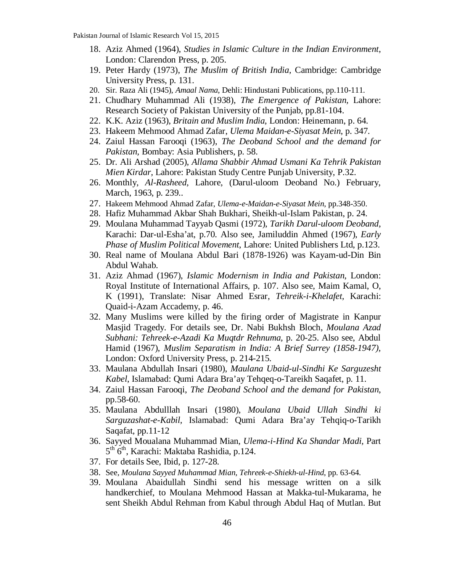- 18. Aziz Ahmed (1964), *Studies in Islamic Culture in the Indian Environment*, London: Clarendon Press, p. 205.
- 19. Peter Hardy (1973), *The Muslim of British India,* Cambridge: Cambridge University Press, p. 131.
- 20. Sir. Raza Ali (1945), *Amaal Nama*, Dehli: Hindustani Publications, pp.110-111.
- 21. Chudhary Muhammad Ali (1938), *The Emergence of Pakistan,* Lahore: Research Society of Pakistan University of the Punjab, pp.81-104.
- 22. K.K. Aziz (1963), *Britain and Muslim India*, London: Heinemann, p. 64.
- 23. Hakeem Mehmood Ahmad Zafar, *Ulema Maidan-e-Siyasat Mein*, p. 347.
- 24. Zaiul Hassan Farooqi (1963), *The Deoband School and the demand for Pakistan,* Bombay: Asia Publishers, p. 58.
- 25. Dr. Ali Arshad (2005), *Allama Shabbir Ahmad Usmani Ka Tehrik Pakistan Mien Kirdar,* Lahore: Pakistan Study Centre Punjab University, P.32.
- 26. Monthly, *Al-Rasheed,* Lahore, (Darul-uloom Deoband No.) February, March, 1963, p. 239..
- 27. Hakeem Mehmood Ahmad Zafar, *Ulema-e-Maidan-e-Siyasat Mein*, pp.348-350.
- 28. Hafiz Muhammad Akbar Shah Bukhari, Sheikh-ul-Islam Pakistan, p. 24.
- 29. Moulana Muhammad Tayyab Qasmi (1972), *Tarikh Darul-uloom Deoband*, Karachi: Dar-ul-Esha'at, p.70. Also see, Jamiluddin Ahmed (1967), *Early Phase of Muslim Political Movement*, Lahore: United Publishers Ltd, p.123.
- 30. Real name of Moulana Abdul Bari (1878-1926) was Kayam-ud-Din Bin Abdul Wahab.
- 31. Aziz Ahmad (1967), *Islamic Modernism in India and Pakistan*, London: Royal Institute of International Affairs, p. 107. Also see, Maim Kamal, O, K (1991), Translate: Nisar Ahmed Esrar, *Tehreik-i-Khelafet,* Karachi: Quaid-i-Azam Accademy, p. 46.
- 32. Many Muslims were killed by the firing order of Magistrate in Kanpur Masjid Tragedy. For details see, Dr. Nabi Bukhsh Bloch, *Moulana Azad Subhani: Tehreek-e-Azadi Ka Muqtdr Rehnuma,* p. 20-25. Also see, Abdul Hamid (1967), *Muslim Separatism in India: A Brief Surrey (1858-1947),* London: Oxford University Press, p. 214-215.
- 33. Maulana Abdullah Insari (1980), *Maulana Ubaid-ul-Sindhi Ke Sarguzesht Kabel*, Islamabad: Qumi Adara Bra'ay Tehqeq-o-Tareikh Saqafet, p. 11.
- 34. Zaiul Hassan Farooqi, *The Deoband School and the demand for Pakistan*, pp.58-60.
- 35. Maulana Abdulllah Insari (1980), *Moulana Ubaid Ullah Sindhi ki Sarguzashat-e-Kabil,* Islamabad: Qumi Adara Bra'ay Tehqiq-o-Tarikh Saqafat, pp.11-12
- 36. Sayyed Moualana Muhammad Mian, *Ulema-i-Hind Ka Shandar Madi,* Part 5<sup>th</sup> 6<sup>th</sup>, Karachi: Maktaba Rashidia, p.124.
- 37. For details See, Ibid, p. 127-28.
- 38. See, *Moulana Sayyed Muhammad Mian, Tehreek-e-Shiekh-ul-Hind*, pp. 63-64.
- 39. Moulana Abaidullah Sindhi send his message written on a silk handkerchief, to Moulana Mehmood Hassan at Makka-tul-Mukarama, he sent Sheikh Abdul Rehman from Kabul through Abdul Haq of Mutlan. But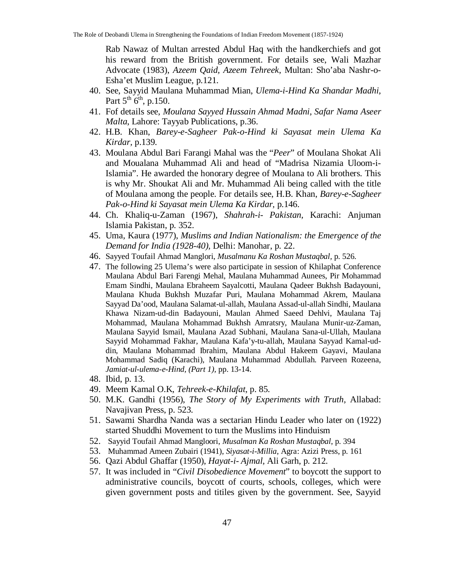Rab Nawaz of Multan arrested Abdul Haq with the handkerchiefs and got his reward from the British government. For details see, Wali Mazhar Advocate (1983), *Azeem Qaid, Azeem Tehreek*, Multan: Sho'aba Nashr-o-Esha'et Muslim League, p.121.

- 40. See, Sayyid Maulana Muhammad Mian, *Ulema-i-Hind Ka Shandar Madhi,* Part  $5^{th}$   $6^{th}$ , p.150.
- 41. Fof details see, *Moulana Sayyed Hussain Ahmad Madni, Safar Nama Aseer Malta*, Lahore: Tayyab Publications, p.36.
- 42. H.B. Khan, *Barey-e-Sagheer Pak-o-Hind ki Sayasat mein Ulema Ka Kirdar,* p.139.
- 43. Moulana Abdul Bari Farangi Mahal was the "*Peer*" of Moulana Shokat Ali and Moualana Muhammad Ali and head of "Madrisa Nizamia Uloom-i-Islamia". He awarded the honorary degree of Moulana to Ali brothers. This is why Mr. Shoukat Ali and Mr. Muhammad Ali being called with the title of Moulana among the people. For details see, H.B. Khan, *Barey-e-Sagheer Pak-o-Hind ki Sayasat mein Ulema Ka Kirdar,* p.146.
- 44. Ch. Khaliq-u-Zaman (1967), *Shahrah-i- Pakistan,* Karachi: Anjuman Islamia Pakistan, p. 352.
- 45. Uma, Kaura (1977), *Muslims and Indian Nationalism: the Emergence of the Demand for India (1928-40),* Delhi: Manohar, p. 22.
- 46. Sayyed Toufail Ahmad Manglori, *Musalmanu Ka Roshan Mustaqbal,* p. 526.
- 47. The following 25 Ulema's were also participate in session of Khilaphat Conference Maulana Abdul Bari Farengi Mehal, Maulana Muhammad Aunees, Pir Mohammad Emam Sindhi, Maulana Ebraheem Sayalcotti, Maulana Qadeer Bukhsh Badayouni, Maulana Khuda Bukhsh Muzafar Puri, Maulana Mohammad Akrem, Maulana Sayyad Da'ood, Maulana Salamat-ul-allah, Maulana Assad-ul-allah Sindhi, Maulana Khawa Nizam-ud-din Badayouni, Maulan Ahmed Saeed Dehlvi, Maulana Taj Mohammad, Maulana Mohammad Bukhsh Amratsry, Maulana Munir-uz-Zaman, Maulana Sayyid Ismail, Maulana Azad Subhani, Maulana Sana-ul-Ullah, Maulana Sayyid Mohammad Fakhar, Maulana Kafa'y-tu-allah, Maulana Sayyad Kamal-uddin, Maulana Mohammad Ibrahim, Maulana Abdul Hakeem Gayavi, Maulana Mohammad Sadiq (Karachi), Maulana Muhammad Abdullah. Parveen Rozeena, *Jamiat-ul-ulema-e-Hind, (Part 1),* pp. 13-14.
- 48. Ibid, p. 13.
- 49. Meem Kamal O.K, *Tehreek-e-Khilafat*, p. 85.
- 50. M.K. Gandhi (1956), *The Story of My Experiments with Truth,* Allabad: Navajivan Press, p. 523.
- 51. Sawami Shardha Nanda was a sectarian Hindu Leader who later on (1922) started Shuddhi Movement to turn the Muslims into Hinduism
- 52. Sayyid Toufail Ahmad Mangloori, *Musalman Ka Roshan Mustaqbal*, p. 394
- 53. Muhammad Ameen Zubairi (1941), *Siyasat-i-Millia*, Agra: Azizi Press, p. 161
- 56. Qazi Abdul Ghaffar (1950), *Hayat-i- Ajmal,* Ali Garh, p. 212.
- 57. It was included in "*Civil Disobedience Movement*" to boycott the support to administrative councils, boycott of courts, schools, colleges, which were given government posts and titiles given by the government. See, Sayyid